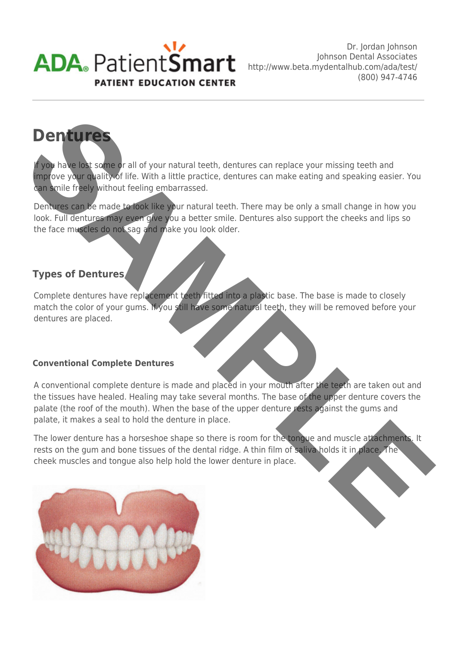

# **Dentures**

If you have lost some or all of your natural teeth, dentures can replace your missing teeth and improve your quality of life. With a little practice, dentures can make eating and speaking easier. You can smile freely without feeling embarrassed.

Dentures can be made to look like your natural teeth. There may be only a small change in how you look. Full dentures may even give you a better smile. Dentures also support the cheeks and lips so the face muscles do not sag and make you look older.

## **Types of Dentures**

Complete dentures have replacement teeth fitted into a plastic base. The base is made to closely match the color of your gums. If you still have some natural teeth, they will be removed before your dentures are placed.

#### **Conventional Complete Dentures**

A conventional complete denture is made and placed in your mouth after the teeth are taken out and the tissues have healed. Healing may take several months. The base of the upper denture covers the palate (the roof of the mouth). When the base of the upper denture rests against the gums and palate, it makes a seal to hold the denture in place. **SAMPLE CONSERVANCES**<br> **SAMPLE CONSERVANCES**<br> **SAMPLE CONSERVANCES**<br> **SAMPLE CONSERVANCES**<br> **SAMPLE CONSERVANCES**<br> **SAMPLE CONSERVANCES**<br> **SAMPLE CONSERVANCES**<br> **SAMPLE CONSERVANCES**<br> **ORDER CONSERVANCES**<br> **ORDER CONSERVAN** 

The lower denture has a horseshoe shape so there is room for the tongue and muscle attachments. It rests on the gum and bone tissues of the dental ridge. A thin film of saliva holds it in place. The cheek muscles and tongue also help hold the lower denture in place.

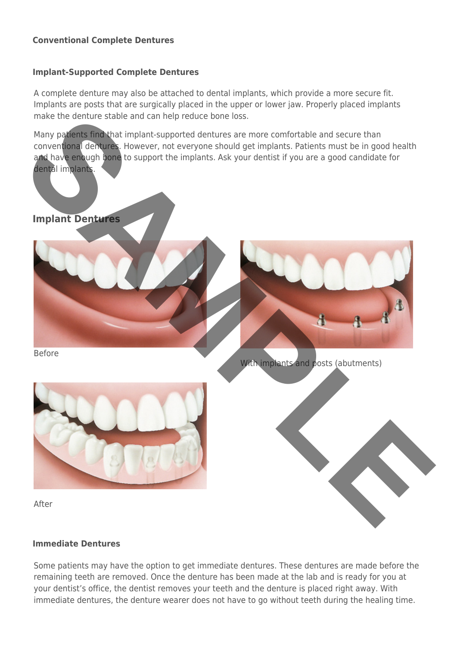#### **Conventional Complete Dentures**

#### **Implant-Supported Complete Dentures**

A complete denture may also be attached to dental implants, which provide a more secure fit. Implants are posts that are surgically placed in the upper or lower jaw. Properly placed implants make the denture stable and can help reduce bone loss.

Many patients find that implant-supported dentures are more comfortable and secure than conventional dentures. However, not everyone should get implants. Patients must be in good health and have enough bone to support the implants. Ask your dentist if you are a good candidate for dental implants.

# **Implant Dentures**



With implants and posts (abutments)



After

#### **Immediate Dentures**

Some patients may have the option to get immediate dentures. These dentures are made before the remaining teeth are removed. Once the denture has been made at the lab and is ready for you at your dentist's office, the dentist removes your teeth and the denture is placed right away. With immediate dentures, the denture wearer does not have to go without teeth during the healing time.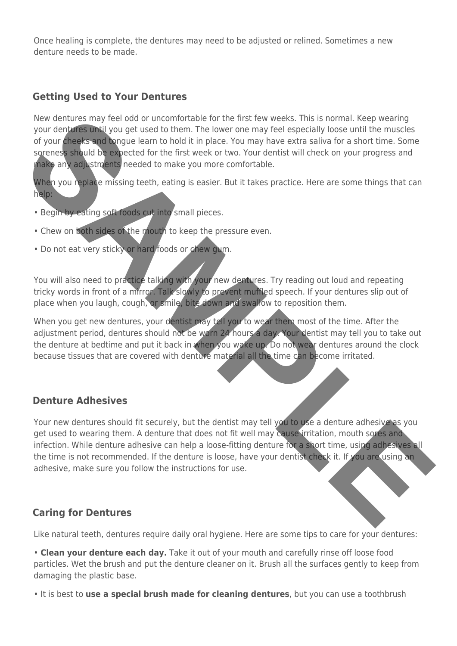Once healing is complete, the dentures may need to be adjusted or relined. Sometimes a new denture needs to be made.

## **Getting Used to Your Dentures**

New dentures may feel odd or uncomfortable for the first few weeks. This is normal. Keep wearing your dentures until you get used to them. The lower one may feel especially loose until the muscles of your cheeks and tongue learn to hold it in place. You may have extra saliva for a short time. Some soreness should be expected for the first week or two. Your dentist will check on your progress and make any adjustments needed to make you more comfortable. New dentures may feel od or uncomptable to the first few weeks. This is normal, keep weeks the properties and longitude and to the impact of your dentures and the muscles of your central longitude languable and to both tim

When you replace missing teeth, eating is easier. But it takes practice. Here are some things that can help:

- Begin by eating soft foods cut into small pieces.
- Chew on both sides of the mouth to keep the pressure even.
- Do not eat very sticky or hard foods or chew gum.

You will also need to practice talking with your new dentures. Try reading out loud and repeating tricky words in front of a mirror. Talk slowly to prevent muffled speech. If your dentures slip out of place when you laugh, cough, or smile, bite down and swallow to reposition them.

When you get new dentures, your dentist may tell you to wear them most of the time. After the adjustment period, dentures should not be worn 24 hours a day. Your dentist may tell you to take out the denture at bedtime and put it back in when you wake up. Do not wear dentures around the clock because tissues that are covered with denture material all the time can become irritated.

## **Denture Adhesives**

Your new dentures should fit securely, but the dentist may tell you to use a denture adhesive as you get used to wearing them. A denture that does not fit well may cause irritation, mouth sores and infection. While denture adhesive can help a loose-fitting denture for a short time, using adhesives all the time is not recommended. If the denture is loose, have your dentist check it. If you are using an adhesive, make sure you follow the instructions for use.

## **Caring for Dentures**

Like natural teeth, dentures require daily oral hygiene. Here are some tips to care for your dentures:

• **Clean your denture each day.** Take it out of your mouth and carefully rinse off loose food particles. Wet the brush and put the denture cleaner on it. Brush all the surfaces gently to keep from damaging the plastic base.

• It is best to **use a special brush made for cleaning dentures**, but you can use a toothbrush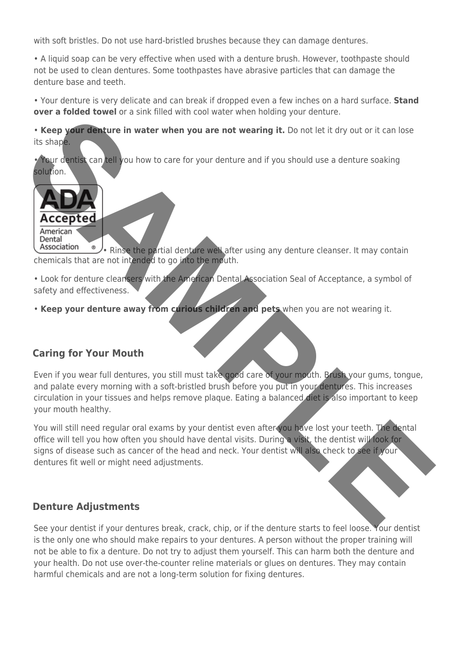with soft bristles. Do not use hard-bristled brushes because they can damage dentures.

• A liquid soap can be very effective when used with a denture brush. However, toothpaste should not be used to clean dentures. Some toothpastes have abrasive particles that can damage the denture base and teeth.

• Your denture is very delicate and can break if dropped even a few inches on a hard surface. **Stand over a folded towel** or a sink filled with cool water when holding your denture.

• **Keep your denture in water when you are not wearing it.** Do not let it dry out or it can lose its shape.

• Your dentist can tell you how to care for your denture and if you should use a denture soaking solution.



• Rinse the partial denture well after using any denture cleanser. It may contain chemicals that are not intended to go into the mouth.

• Look for denture cleansers with the American Dental Association Seal of Acceptance, a symbol of safety and effectiveness.

• **Keep your denture away from curious children and pets** when you are not wearing it.

## **Caring for Your Mouth**

Even if you wear full dentures, you still must take good care of your mouth. Brush your gums, tongue, and palate every morning with a soft-bristled brush before you put in your dentures. This increases circulation in your tissues and helps remove plaque. Eating a balanced diet is also important to keep your mouth healthy. **SAMPLE CONTROLL AND THE CONTROLL CONTROLL CONTROLL CONTROLL CONTROLL CONTROLL CONTROLL CONTROLL CONTROLL CONTROLL CONTROLL CONTROLL CONTROLL CONTROLL CONTROLL CONTROLL CONTROLL CONTROLL CONTROLL CONTROLL CONTROLL CONTROLL** 

You will still need regular oral exams by your dentist even after you have lost your teeth. The dental office will tell you how often you should have dental visits. During a visit, the dentist will look for signs of disease such as cancer of the head and neck. Your dentist will also check to see if your dentures fit well or might need adjustments.

## **Denture Adjustments**

See your dentist if your dentures break, crack, chip, or if the denture starts to feel loose. Your dentist is the only one who should make repairs to your dentures. A person without the proper training will not be able to fix a denture. Do not try to adjust them yourself. This can harm both the denture and your health. Do not use over-the-counter reline materials or glues on dentures. They may contain harmful chemicals and are not a long-term solution for fixing dentures.